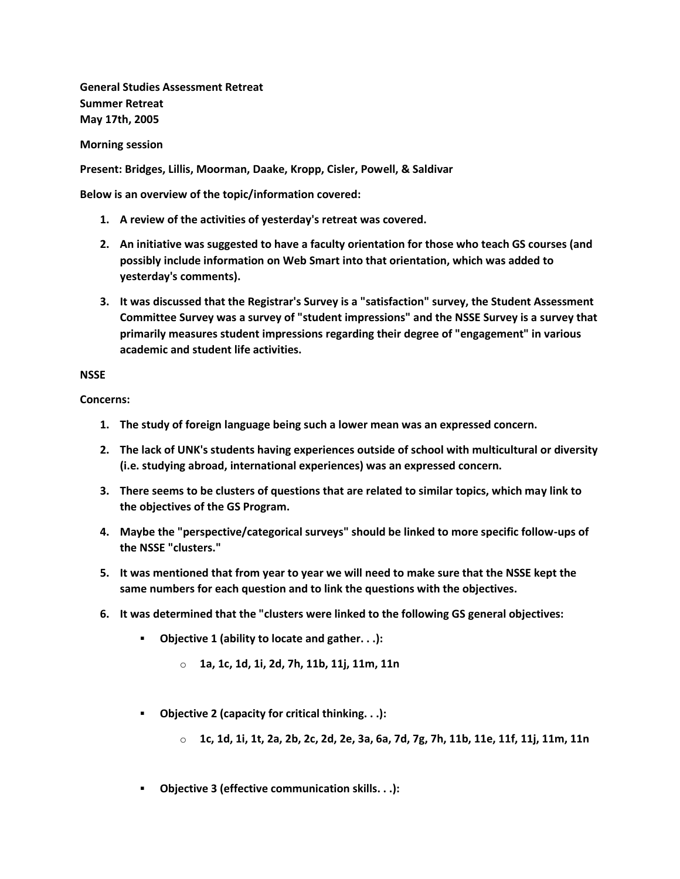**General Studies Assessment Retreat Summer Retreat May 17th, 2005**

**Morning session**

**Present: Bridges, Lillis, Moorman, Daake, Kropp, Cisler, Powell, & Saldivar**

**Below is an overview of the topic/information covered:**

- **1. A review of the activities of yesterday's retreat was covered.**
- **2. An initiative was suggested to have a faculty orientation for those who teach GS courses (and possibly include information on Web Smart into that orientation, which was added to yesterday's comments).**
- **3. It was discussed that the Registrar's Survey is a "satisfaction" survey, the Student Assessment Committee Survey was a survey of "student impressions" and the NSSE Survey is a survey that primarily measures student impressions regarding their degree of "engagement" in various academic and student life activities.**

## **NSSE**

**Concerns:**

- **1. The study of foreign language being such a lower mean was an expressed concern.**
- **2. The lack of UNK's students having experiences outside of school with multicultural or diversity (i.e. studying abroad, international experiences) was an expressed concern.**
- **3. There seems to be clusters of questions that are related to similar topics, which may link to the objectives of the GS Program.**
- **4. Maybe the "perspective/categorical surveys" should be linked to more specific follow-ups of the NSSE "clusters."**
- **5. It was mentioned that from year to year we will need to make sure that the NSSE kept the same numbers for each question and to link the questions with the objectives.**
- **6. It was determined that the "clusters were linked to the following GS general objectives:** 
	- **Objective 1 (ability to locate and gather. . .):** 
		- o **1a, 1c, 1d, 1i, 2d, 7h, 11b, 11j, 11m, 11n**
	- **Objective 2 (capacity for critical thinking. . .):** 
		- o **1c, 1d, 1i, 1t, 2a, 2b, 2c, 2d, 2e, 3a, 6a, 7d, 7g, 7h, 11b, 11e, 11f, 11j, 11m, 11n**
	- **Objective 3 (effective communication skills. . .):**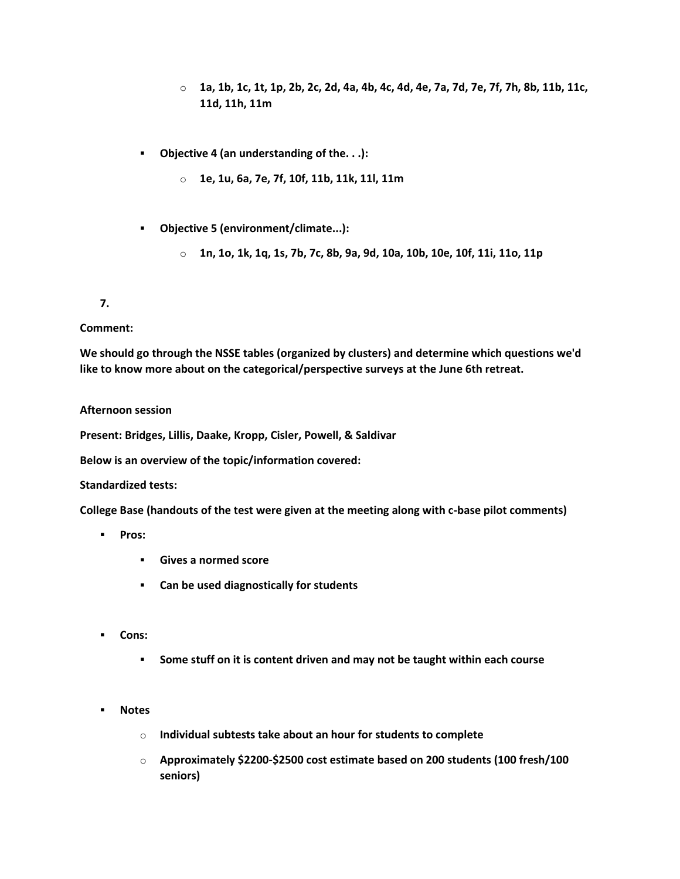- o **1a, 1b, 1c, 1t, 1p, 2b, 2c, 2d, 4a, 4b, 4c, 4d, 4e, 7a, 7d, 7e, 7f, 7h, 8b, 11b, 11c, 11d, 11h, 11m**
- **Objective 4 (an understanding of the. . .):** 
	- o **1e, 1u, 6a, 7e, 7f, 10f, 11b, 11k, 11l, 11m**
- **Objective 5 (environment/climate...):** 
	- o **1n, 1o, 1k, 1q, 1s, 7b, 7c, 8b, 9a, 9d, 10a, 10b, 10e, 10f, 11i, 11o, 11p**

**7.**

#### **Comment:**

**We should go through the NSSE tables (organized by clusters) and determine which questions we'd like to know more about on the categorical/perspective surveys at the June 6th retreat.**

#### **Afternoon session**

**Present: Bridges, Lillis, Daake, Kropp, Cisler, Powell, & Saldivar**

**Below is an overview of the topic/information covered:**

#### **Standardized tests:**

**College Base (handouts of the test were given at the meeting along with c-base pilot comments)**

- **Pros:** 
	- **Gives a normed score**
	- **Can be used diagnostically for students**
- **Cons:** 
	- **Some stuff on it is content driven and may not be taught within each course**
- **Notes** 
	- o **Individual subtests take about an hour for students to complete**
	- o **Approximately \$2200-\$2500 cost estimate based on 200 students (100 fresh/100 seniors)**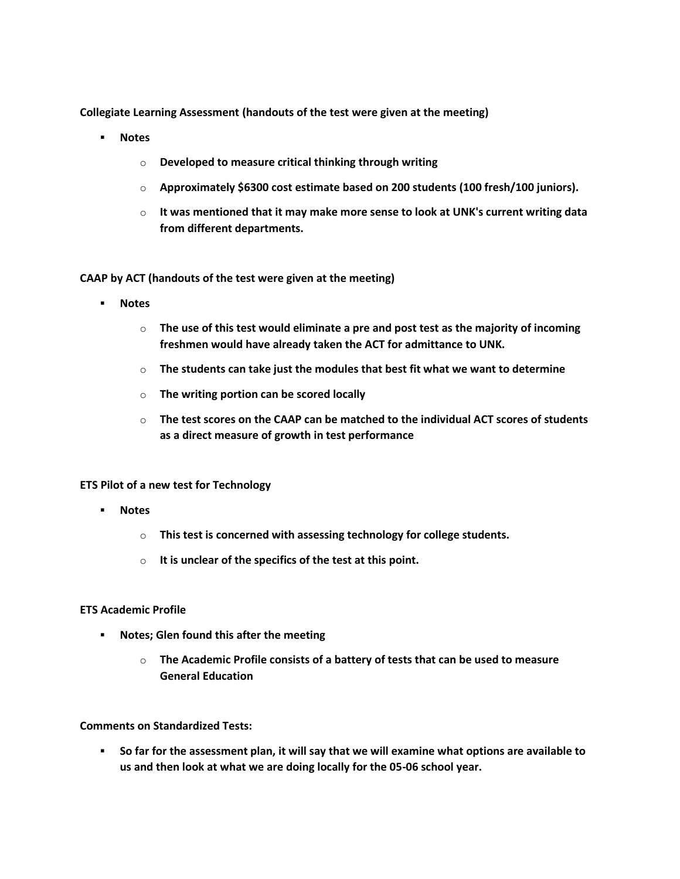**Collegiate Learning Assessment (handouts of the test were given at the meeting)**

- **Notes** 
	- o **Developed to measure critical thinking through writing**
	- o **Approximately \$6300 cost estimate based on 200 students (100 fresh/100 juniors).**
	- o **It was mentioned that it may make more sense to look at UNK's current writing data from different departments.**

**CAAP by ACT (handouts of the test were given at the meeting)**

- **Notes** 
	- o **The use of this test would eliminate a pre and post test as the majority of incoming freshmen would have already taken the ACT for admittance to UNK.**
	- o **The students can take just the modules that best fit what we want to determine**
	- o **The writing portion can be scored locally**
	- o **The test scores on the CAAP can be matched to the individual ACT scores of students as a direct measure of growth in test performance**

#### **ETS Pilot of a new test for Technology**

- **Notes** 
	- o **This test is concerned with assessing technology for college students.**
	- o **It is unclear of the specifics of the test at this point.**

## **ETS Academic Profile**

- **Notes; Glen found this after the meeting** 
	- o **The Academic Profile consists of a battery of tests that can be used to measure General Education**

# **Comments on Standardized Tests:**

 **So far for the assessment plan, it will say that we will examine what options are available to us and then look at what we are doing locally for the 05-06 school year.**